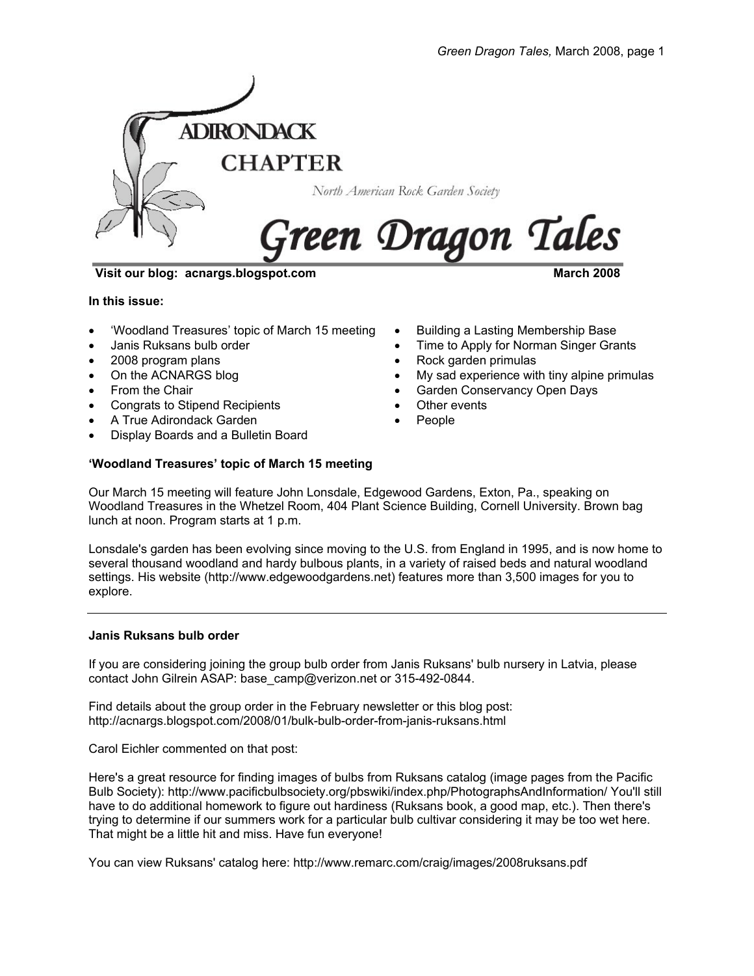

**Visit our blog: acnargs.blogspot.com March 2008** March 2008

**In this issue:** 

- 'Woodland Treasures' topic of March 15 meeting
- Janis Ruksans bulb order
- 2008 program plans
- On the ACNARGS blog
- From the Chair
- Congrats to Stipend Recipients
- A True Adirondack Garden
- Display Boards and a Bulletin Board
- **'Woodland Treasures' topic of March 15 meeting**
- Our March 15 meeting will feature John Lonsdale, Edgewood Gardens, Exton, Pa., speaking on Woodland Treasures in the Whetzel Room, 404 Plant Science Building, Cornell University. Brown bag lunch at noon. Program starts at 1 p.m.

Lonsdale's garden has been evolving since moving to the U.S. from England in 1995, and is now home to several thousand woodland and hardy bulbous plants, in a variety of raised beds and natural woodland settings. His website (http://www.edgewoodgardens.net) features more than 3,500 images for you to explore.

## **Janis Ruksans bulb order**

If you are considering joining the group bulb order from Janis Ruksans' bulb nursery in Latvia, please contact John Gilrein ASAP: base\_camp@verizon.net or 315-492-0844.

Find details about the group order in the February newsletter or this blog post: http://acnargs.blogspot.com/2008/01/bulk-bulb-order-from-janis-ruksans.html

Carol Eichler commented on that post:

Here's a great resource for finding images of bulbs from Ruksans catalog (image pages from the Pacific Bulb Society): http://www.pacificbulbsociety.org/pbswiki/index.php/PhotographsAndInformation/ You'll still have to do additional homework to figure out hardiness (Ruksans book, a good map, etc.). Then there's trying to determine if our summers work for a particular bulb cultivar considering it may be too wet here. That might be a little hit and miss. Have fun everyone!

You can view Ruksans' catalog here: http://www.remarc.com/craig/images/2008ruksans.pdf

- 
- Building a Lasting Membership Base
- Time to Apply for Norman Singer Grants
- Rock garden primulas
- My sad experience with tiny alpine primulas
- Garden Conservancy Open Days
- Other events
- People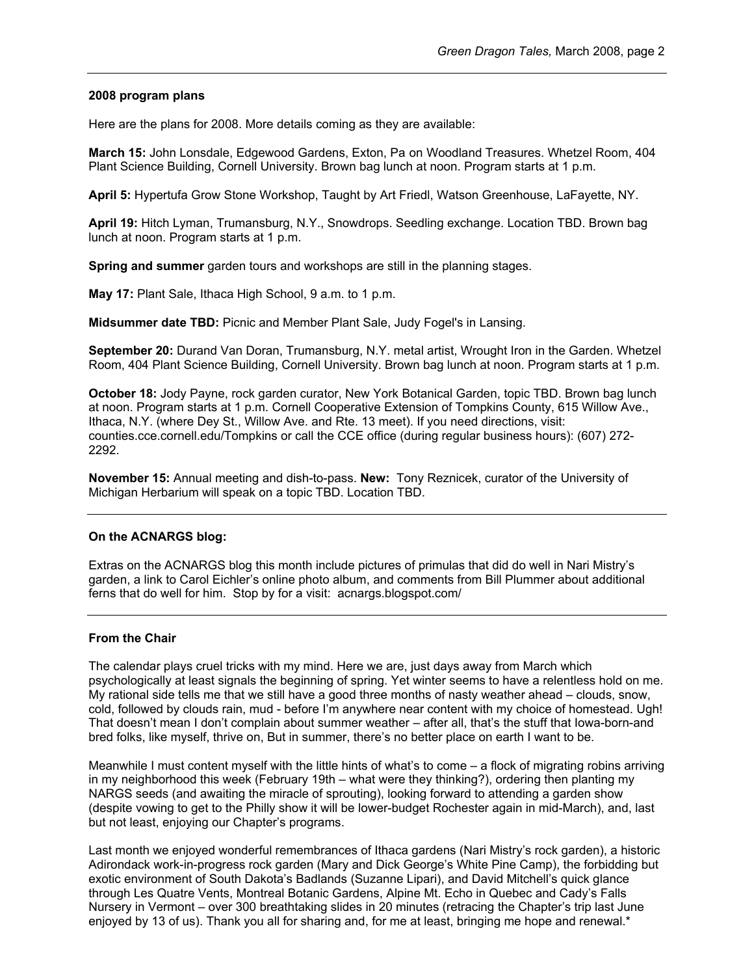### **2008 program plans**

Here are the plans for 2008. More details coming as they are available:

**March 15:** John Lonsdale, Edgewood Gardens, Exton, Pa on Woodland Treasures. Whetzel Room, 404 Plant Science Building, Cornell University. Brown bag lunch at noon. Program starts at 1 p.m.

**April 5:** Hypertufa Grow Stone Workshop, Taught by Art Friedl, Watson Greenhouse, LaFayette, NY.

**April 19:** Hitch Lyman, Trumansburg, N.Y., Snowdrops. Seedling exchange. Location TBD. Brown bag lunch at noon. Program starts at 1 p.m.

**Spring and summer** garden tours and workshops are still in the planning stages.

**May 17:** Plant Sale, Ithaca High School, 9 a.m. to 1 p.m.

**Midsummer date TBD:** Picnic and Member Plant Sale, Judy Fogel's in Lansing.

**September 20:** Durand Van Doran, Trumansburg, N.Y. metal artist, Wrought Iron in the Garden. Whetzel Room, 404 Plant Science Building, Cornell University. Brown bag lunch at noon. Program starts at 1 p.m.

**October 18:** Jody Payne, rock garden curator, New York Botanical Garden, topic TBD. Brown bag lunch at noon. Program starts at 1 p.m. Cornell Cooperative Extension of Tompkins County, 615 Willow Ave., Ithaca, N.Y. (where Dey St., Willow Ave. and Rte. 13 meet). If you need directions, visit: counties.cce.cornell.edu/Tompkins or call the CCE office (during regular business hours): (607) 272- 2292.

**November 15:** Annual meeting and dish-to-pass. **New:** Tony Reznicek, curator of the University of Michigan Herbarium will speak on a topic TBD. Location TBD.

## **On the ACNARGS blog:**

Extras on the ACNARGS blog this month include pictures of primulas that did do well in Nari Mistry's garden, a link to Carol Eichler's online photo album, and comments from Bill Plummer about additional ferns that do well for him. Stop by for a visit: acnargs.blogspot.com/

## **From the Chair**

The calendar plays cruel tricks with my mind. Here we are, just days away from March which psychologically at least signals the beginning of spring. Yet winter seems to have a relentless hold on me. My rational side tells me that we still have a good three months of nasty weather ahead – clouds, snow, cold, followed by clouds rain, mud - before I'm anywhere near content with my choice of homestead. Ugh! That doesn't mean I don't complain about summer weather – after all, that's the stuff that Iowa-born-and bred folks, like myself, thrive on, But in summer, there's no better place on earth I want to be.

Meanwhile I must content myself with the little hints of what's to come – a flock of migrating robins arriving in my neighborhood this week (February 19th – what were they thinking?), ordering then planting my NARGS seeds (and awaiting the miracle of sprouting), looking forward to attending a garden show (despite vowing to get to the Philly show it will be lower-budget Rochester again in mid-March), and, last but not least, enjoying our Chapter's programs.

Last month we enjoyed wonderful remembrances of Ithaca gardens (Nari Mistry's rock garden), a historic Adirondack work-in-progress rock garden (Mary and Dick George's White Pine Camp), the forbidding but exotic environment of South Dakota's Badlands (Suzanne Lipari), and David Mitchell's quick glance through Les Quatre Vents, Montreal Botanic Gardens, Alpine Mt. Echo in Quebec and Cady's Falls Nursery in Vermont – over 300 breathtaking slides in 20 minutes (retracing the Chapter's trip last June enjoyed by 13 of us). Thank you all for sharing and, for me at least, bringing me hope and renewal.\*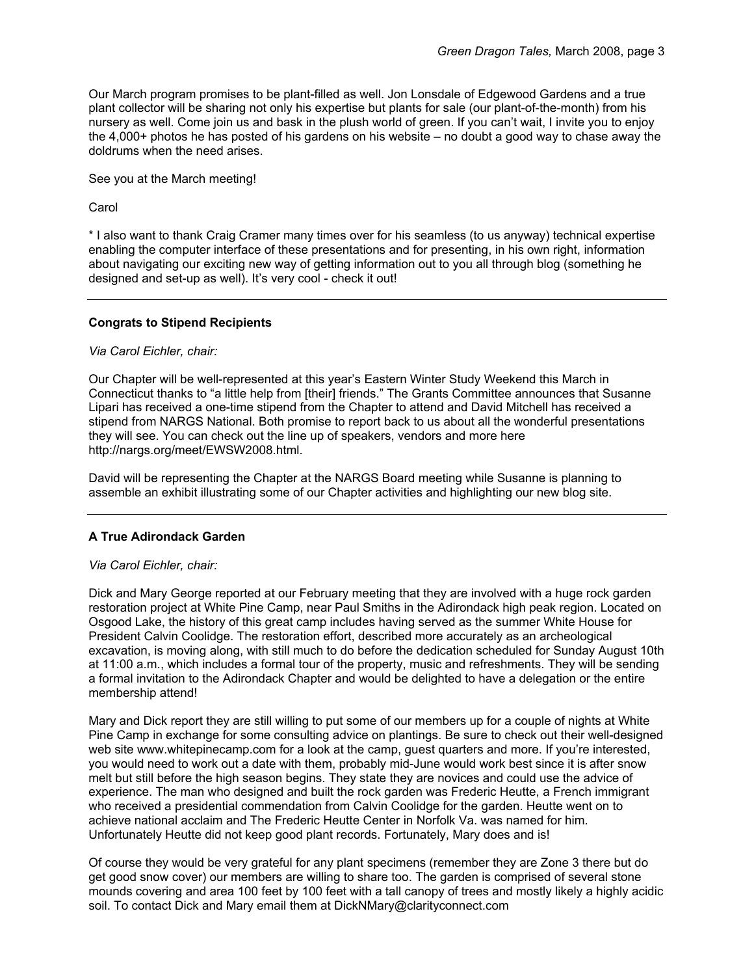Our March program promises to be plant-filled as well. Jon Lonsdale of Edgewood Gardens and a true plant collector will be sharing not only his expertise but plants for sale (our plant-of-the-month) from his nursery as well. Come join us and bask in the plush world of green. If you can't wait, I invite you to enjoy the 4,000+ photos he has posted of his gardens on his website – no doubt a good way to chase away the doldrums when the need arises.

See you at the March meeting!

Carol

\* I also want to thank Craig Cramer many times over for his seamless (to us anyway) technical expertise enabling the computer interface of these presentations and for presenting, in his own right, information about navigating our exciting new way of getting information out to you all through blog (something he designed and set-up as well). It's very cool - check it out!

## **Congrats to Stipend Recipients**

## *Via Carol Eichler, chair:*

Our Chapter will be well-represented at this year's Eastern Winter Study Weekend this March in Connecticut thanks to "a little help from [their] friends." The Grants Committee announces that Susanne Lipari has received a one-time stipend from the Chapter to attend and David Mitchell has received a stipend from NARGS National. Both promise to report back to us about all the wonderful presentations they will see. You can check out the line up of speakers, vendors and more here http://nargs.org/meet/EWSW2008.html.

David will be representing the Chapter at the NARGS Board meeting while Susanne is planning to assemble an exhibit illustrating some of our Chapter activities and highlighting our new blog site.

# **A True Adirondack Garden**

## *Via Carol Eichler, chair:*

Dick and Mary George reported at our February meeting that they are involved with a huge rock garden restoration project at White Pine Camp, near Paul Smiths in the Adirondack high peak region. Located on Osgood Lake, the history of this great camp includes having served as the summer White House for President Calvin Coolidge. The restoration effort, described more accurately as an archeological excavation, is moving along, with still much to do before the dedication scheduled for Sunday August 10th at 11:00 a.m., which includes a formal tour of the property, music and refreshments. They will be sending a formal invitation to the Adirondack Chapter and would be delighted to have a delegation or the entire membership attend!

Mary and Dick report they are still willing to put some of our members up for a couple of nights at White Pine Camp in exchange for some consulting advice on plantings. Be sure to check out their well-designed web site www.whitepinecamp.com for a look at the camp, guest quarters and more. If you're interested, you would need to work out a date with them, probably mid-June would work best since it is after snow melt but still before the high season begins. They state they are novices and could use the advice of experience. The man who designed and built the rock garden was Frederic Heutte, a French immigrant who received a presidential commendation from Calvin Coolidge for the garden. Heutte went on to achieve national acclaim and The Frederic Heutte Center in Norfolk Va. was named for him. Unfortunately Heutte did not keep good plant records. Fortunately, Mary does and is!

Of course they would be very grateful for any plant specimens (remember they are Zone 3 there but do get good snow cover) our members are willing to share too. The garden is comprised of several stone mounds covering and area 100 feet by 100 feet with a tall canopy of trees and mostly likely a highly acidic soil. To contact Dick and Mary email them at DickNMary@clarityconnect.com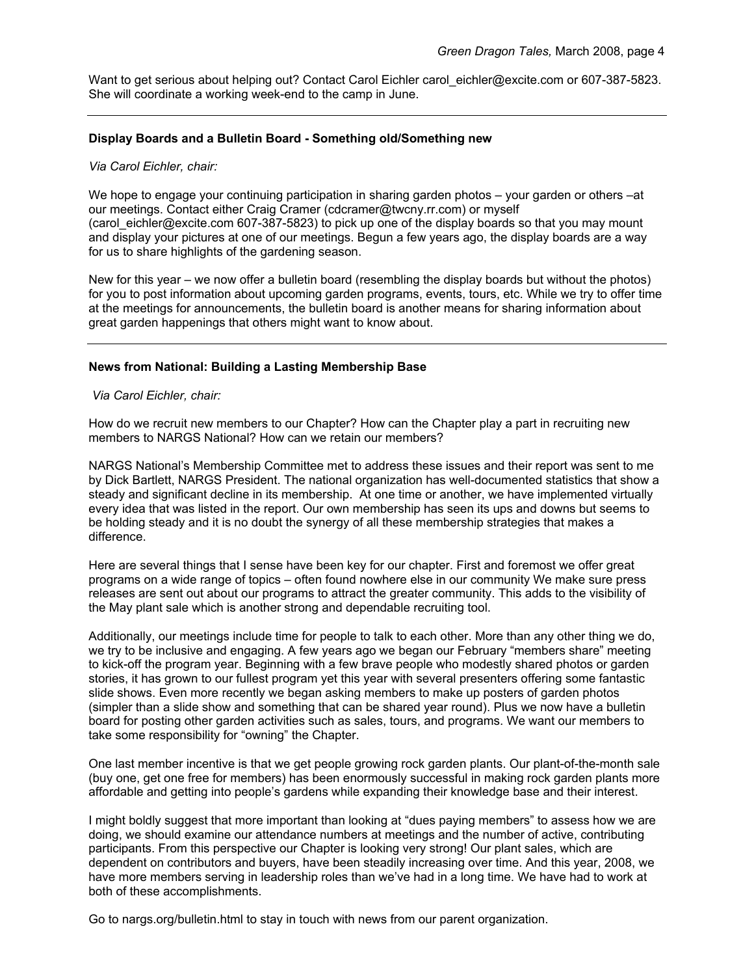Want to get serious about helping out? Contact Carol Eichler carol eichler@excite.com or 607-387-5823. She will coordinate a working week-end to the camp in June.

#### **Display Boards and a Bulletin Board - Something old/Something new**

#### *Via Carol Eichler, chair:*

We hope to engage your continuing participation in sharing garden photos – your garden or others –at our meetings. Contact either Craig Cramer (cdcramer@twcny.rr.com) or myself (carol\_eichler@excite.com 607-387-5823) to pick up one of the display boards so that you may mount and display your pictures at one of our meetings. Begun a few years ago, the display boards are a way for us to share highlights of the gardening season.

New for this year – we now offer a bulletin board (resembling the display boards but without the photos) for you to post information about upcoming garden programs, events, tours, etc. While we try to offer time at the meetings for announcements, the bulletin board is another means for sharing information about great garden happenings that others might want to know about.

#### **News from National: Building a Lasting Membership Base**

 *Via Carol Eichler, chair:* 

How do we recruit new members to our Chapter? How can the Chapter play a part in recruiting new members to NARGS National? How can we retain our members?

NARGS National's Membership Committee met to address these issues and their report was sent to me by Dick Bartlett, NARGS President. The national organization has well-documented statistics that show a steady and significant decline in its membership. At one time or another, we have implemented virtually every idea that was listed in the report. Our own membership has seen its ups and downs but seems to be holding steady and it is no doubt the synergy of all these membership strategies that makes a difference.

Here are several things that I sense have been key for our chapter. First and foremost we offer great programs on a wide range of topics – often found nowhere else in our community We make sure press releases are sent out about our programs to attract the greater community. This adds to the visibility of the May plant sale which is another strong and dependable recruiting tool.

Additionally, our meetings include time for people to talk to each other. More than any other thing we do, we try to be inclusive and engaging. A few years ago we began our February "members share" meeting to kick-off the program year. Beginning with a few brave people who modestly shared photos or garden stories, it has grown to our fullest program yet this year with several presenters offering some fantastic slide shows. Even more recently we began asking members to make up posters of garden photos (simpler than a slide show and something that can be shared year round). Plus we now have a bulletin board for posting other garden activities such as sales, tours, and programs. We want our members to take some responsibility for "owning" the Chapter.

One last member incentive is that we get people growing rock garden plants. Our plant-of-the-month sale (buy one, get one free for members) has been enormously successful in making rock garden plants more affordable and getting into people's gardens while expanding their knowledge base and their interest.

I might boldly suggest that more important than looking at "dues paying members" to assess how we are doing, we should examine our attendance numbers at meetings and the number of active, contributing participants. From this perspective our Chapter is looking very strong! Our plant sales, which are dependent on contributors and buyers, have been steadily increasing over time. And this year, 2008, we have more members serving in leadership roles than we've had in a long time. We have had to work at both of these accomplishments.

Go to nargs.org/bulletin.html to stay in touch with news from our parent organization.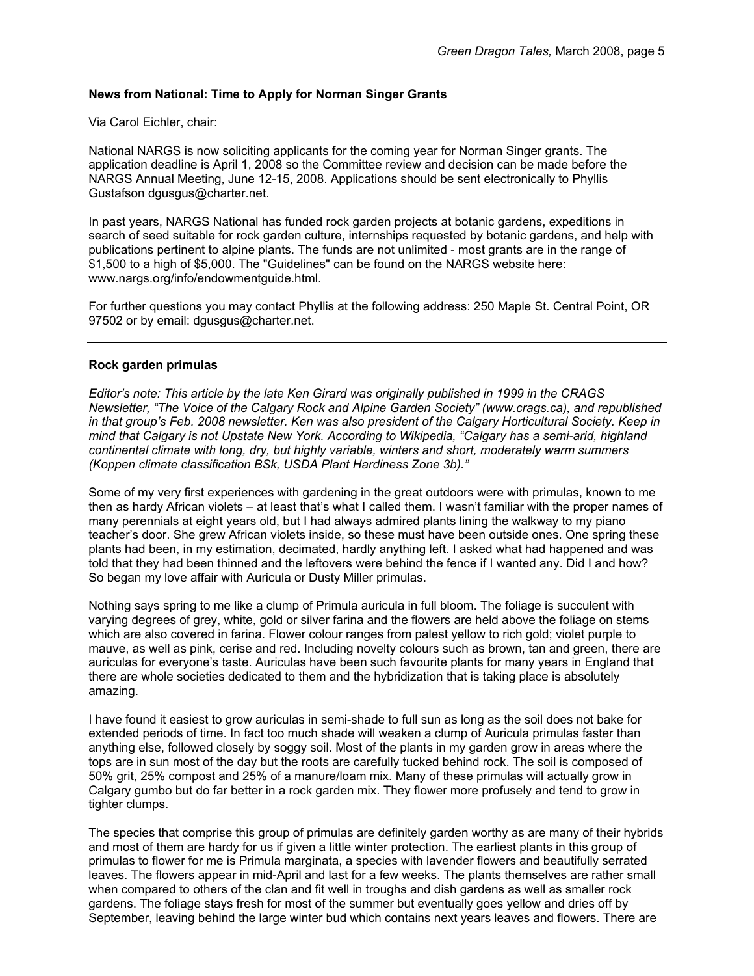## **News from National: Time to Apply for Norman Singer Grants**

Via Carol Eichler, chair:

National NARGS is now soliciting applicants for the coming year for Norman Singer grants. The application deadline is April 1, 2008 so the Committee review and decision can be made before the NARGS Annual Meeting, June 12-15, 2008. Applications should be sent electronically to Phyllis Gustafson dgusgus@charter.net.

In past years, NARGS National has funded rock garden projects at botanic gardens, expeditions in search of seed suitable for rock garden culture, internships requested by botanic gardens, and help with publications pertinent to alpine plants. The funds are not unlimited - most grants are in the range of \$1,500 to a high of \$5,000. The "Guidelines" can be found on the NARGS website here: www.nargs.org/info/endowmentguide.html.

For further questions you may contact Phyllis at the following address: 250 Maple St. Central Point, OR 97502 or by email: dgusgus@charter.net.

## **Rock garden primulas**

*Editor's note: This article by the late Ken Girard was originally published in 1999 in the CRAGS Newsletter, "The Voice of the Calgary Rock and Alpine Garden Society" (www.crags.ca), and republished in that group's Feb. 2008 newsletter. Ken was also president of the Calgary Horticultural Society. Keep in mind that Calgary is not Upstate New York. According to Wikipedia, "Calgary has a semi-arid, highland continental climate with long, dry, but highly variable, winters and short, moderately warm summers (Koppen climate classification BSk, USDA Plant Hardiness Zone 3b)."* 

Some of my very first experiences with gardening in the great outdoors were with primulas, known to me then as hardy African violets – at least that's what I called them. I wasn't familiar with the proper names of many perennials at eight years old, but I had always admired plants lining the walkway to my piano teacher's door. She grew African violets inside, so these must have been outside ones. One spring these plants had been, in my estimation, decimated, hardly anything left. I asked what had happened and was told that they had been thinned and the leftovers were behind the fence if I wanted any. Did I and how? So began my love affair with Auricula or Dusty Miller primulas.

Nothing says spring to me like a clump of Primula auricula in full bloom. The foliage is succulent with varying degrees of grey, white, gold or silver farina and the flowers are held above the foliage on stems which are also covered in farina. Flower colour ranges from palest yellow to rich gold; violet purple to mauve, as well as pink, cerise and red. Including novelty colours such as brown, tan and green, there are auriculas for everyone's taste. Auriculas have been such favourite plants for many years in England that there are whole societies dedicated to them and the hybridization that is taking place is absolutely amazing.

I have found it easiest to grow auriculas in semi-shade to full sun as long as the soil does not bake for extended periods of time. In fact too much shade will weaken a clump of Auricula primulas faster than anything else, followed closely by soggy soil. Most of the plants in my garden grow in areas where the tops are in sun most of the day but the roots are carefully tucked behind rock. The soil is composed of 50% grit, 25% compost and 25% of a manure/loam mix. Many of these primulas will actually grow in Calgary gumbo but do far better in a rock garden mix. They flower more profusely and tend to grow in tighter clumps.

The species that comprise this group of primulas are definitely garden worthy as are many of their hybrids and most of them are hardy for us if given a little winter protection. The earliest plants in this group of primulas to flower for me is Primula marginata, a species with lavender flowers and beautifully serrated leaves. The flowers appear in mid-April and last for a few weeks. The plants themselves are rather small when compared to others of the clan and fit well in troughs and dish gardens as well as smaller rock gardens. The foliage stays fresh for most of the summer but eventually goes yellow and dries off by September, leaving behind the large winter bud which contains next years leaves and flowers. There are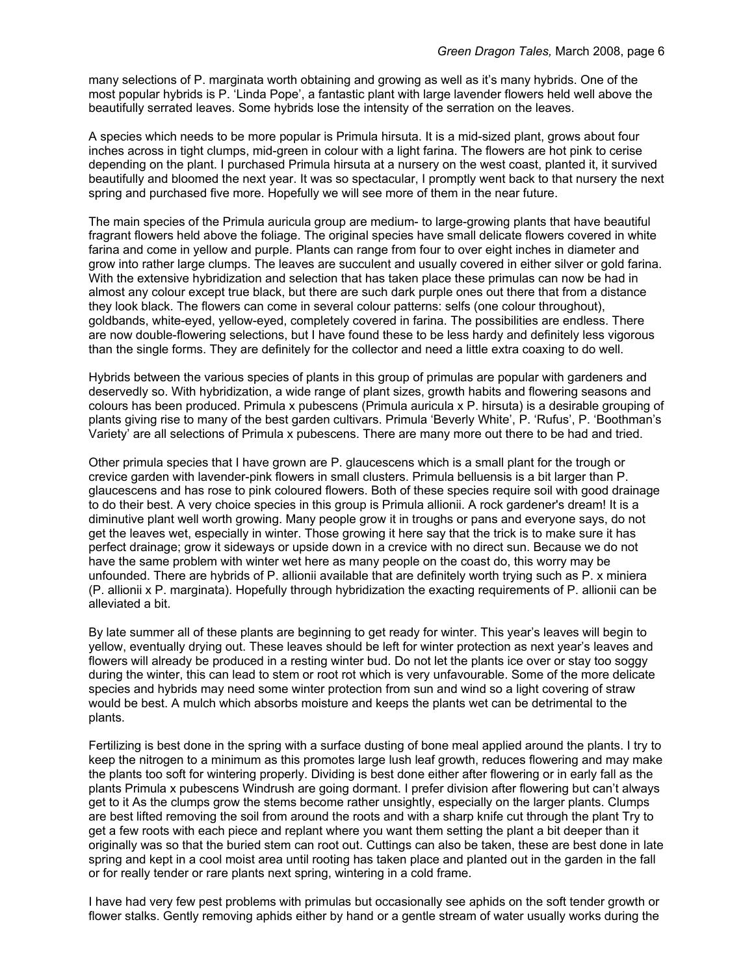many selections of P. marginata worth obtaining and growing as well as it's many hybrids. One of the most popular hybrids is P. 'Linda Pope', a fantastic plant with large lavender flowers held well above the beautifully serrated leaves. Some hybrids lose the intensity of the serration on the leaves.

A species which needs to be more popular is Primula hirsuta. It is a mid-sized plant, grows about four inches across in tight clumps, mid-green in colour with a light farina. The flowers are hot pink to cerise depending on the plant. I purchased Primula hirsuta at a nursery on the west coast, planted it, it survived beautifully and bloomed the next year. It was so spectacular, I promptly went back to that nursery the next spring and purchased five more. Hopefully we will see more of them in the near future.

The main species of the Primula auricula group are medium- to large-growing plants that have beautiful fragrant flowers held above the foliage. The original species have small delicate flowers covered in white farina and come in yellow and purple. Plants can range from four to over eight inches in diameter and grow into rather large clumps. The leaves are succulent and usually covered in either silver or gold farina. With the extensive hybridization and selection that has taken place these primulas can now be had in almost any colour except true black, but there are such dark purple ones out there that from a distance they look black. The flowers can come in several colour patterns: selfs (one colour throughout), goldbands, white-eyed, yellow-eyed, completely covered in farina. The possibilities are endless. There are now double-flowering selections, but I have found these to be less hardy and definitely less vigorous than the single forms. They are definitely for the collector and need a little extra coaxing to do well.

Hybrids between the various species of plants in this group of primulas are popular with gardeners and deservedly so. With hybridization, a wide range of plant sizes, growth habits and flowering seasons and colours has been produced. Primula x pubescens (Primula auricula x P. hirsuta) is a desirable grouping of plants giving rise to many of the best garden cultivars. Primula 'Beverly White', P. 'Rufus', P. 'Boothman's Variety' are all selections of Primula x pubescens. There are many more out there to be had and tried.

Other primula species that I have grown are P. glaucescens which is a small plant for the trough or crevice garden with lavender-pink flowers in small clusters. Primula belluensis is a bit larger than P. glaucescens and has rose to pink coloured flowers. Both of these species require soil with good drainage to do their best. A very choice species in this group is Primula allionii. A rock gardener's dream! It is a diminutive plant well worth growing. Many people grow it in troughs or pans and everyone says, do not get the leaves wet, especially in winter. Those growing it here say that the trick is to make sure it has perfect drainage; grow it sideways or upside down in a crevice with no direct sun. Because we do not have the same problem with winter wet here as many people on the coast do, this worry may be unfounded. There are hybrids of P. allionii available that are definitely worth trying such as P. x miniera (P. allionii x P. marginata). Hopefully through hybridization the exacting requirements of P. allionii can be alleviated a bit.

By late summer all of these plants are beginning to get ready for winter. This year's leaves will begin to yellow, eventually drying out. These leaves should be left for winter protection as next year's leaves and flowers will already be produced in a resting winter bud. Do not let the plants ice over or stay too soggy during the winter, this can lead to stem or root rot which is very unfavourable. Some of the more delicate species and hybrids may need some winter protection from sun and wind so a light covering of straw would be best. A mulch which absorbs moisture and keeps the plants wet can be detrimental to the plants.

Fertilizing is best done in the spring with a surface dusting of bone meal applied around the plants. I try to keep the nitrogen to a minimum as this promotes large lush leaf growth, reduces flowering and may make the plants too soft for wintering properly. Dividing is best done either after flowering or in early fall as the plants Primula x pubescens Windrush are going dormant. I prefer division after flowering but can't always get to it As the clumps grow the stems become rather unsightly, especially on the larger plants. Clumps are best lifted removing the soil from around the roots and with a sharp knife cut through the plant Try to get a few roots with each piece and replant where you want them setting the plant a bit deeper than it originally was so that the buried stem can root out. Cuttings can also be taken, these are best done in late spring and kept in a cool moist area until rooting has taken place and planted out in the garden in the fall or for really tender or rare plants next spring, wintering in a cold frame.

I have had very few pest problems with primulas but occasionally see aphids on the soft tender growth or flower stalks. Gently removing aphids either by hand or a gentle stream of water usually works during the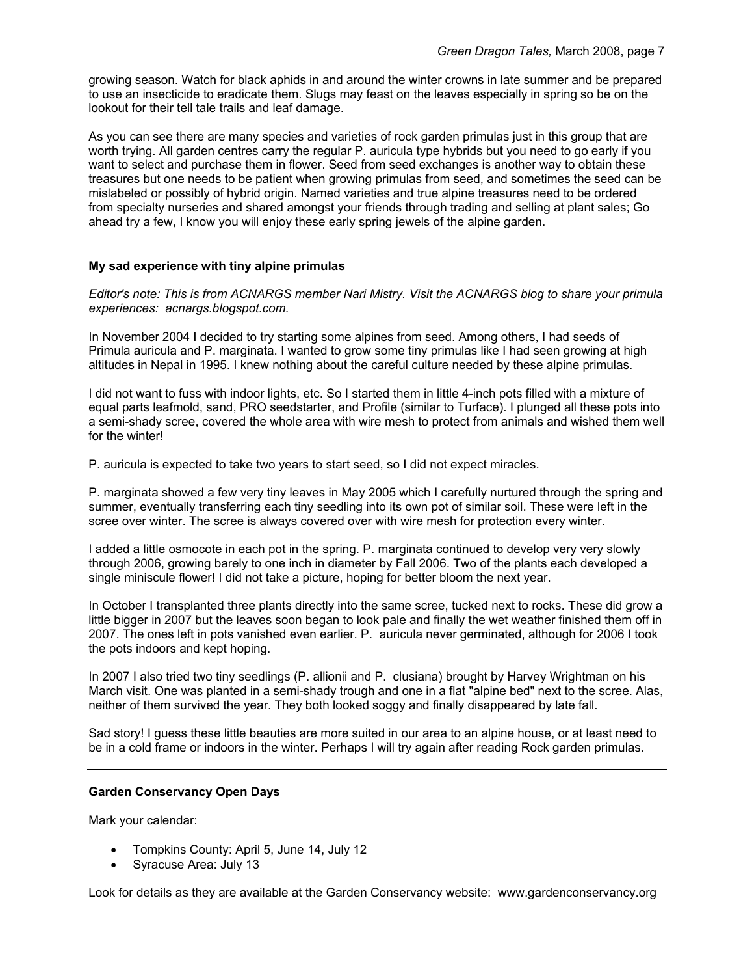growing season. Watch for black aphids in and around the winter crowns in late summer and be prepared to use an insecticide to eradicate them. Slugs may feast on the leaves especially in spring so be on the lookout for their tell tale trails and leaf damage.

As you can see there are many species and varieties of rock garden primulas just in this group that are worth trying. All garden centres carry the regular P. auricula type hybrids but you need to go early if you want to select and purchase them in flower. Seed from seed exchanges is another way to obtain these treasures but one needs to be patient when growing primulas from seed, and sometimes the seed can be mislabeled or possibly of hybrid origin. Named varieties and true alpine treasures need to be ordered from specialty nurseries and shared amongst your friends through trading and selling at plant sales; Go ahead try a few, I know you will enjoy these early spring jewels of the alpine garden.

## **My sad experience with tiny alpine primulas**

*Editor's note: This is from ACNARGS member Nari Mistry. Visit the ACNARGS blog to share your primula experiences: acnargs.blogspot.com.* 

In November 2004 I decided to try starting some alpines from seed. Among others, I had seeds of Primula auricula and P. marginata. I wanted to grow some tiny primulas like I had seen growing at high altitudes in Nepal in 1995. I knew nothing about the careful culture needed by these alpine primulas.

I did not want to fuss with indoor lights, etc. So I started them in little 4-inch pots filled with a mixture of equal parts leafmold, sand, PRO seedstarter, and Profile (similar to Turface). I plunged all these pots into a semi-shady scree, covered the whole area with wire mesh to protect from animals and wished them well for the winter!

P. auricula is expected to take two years to start seed, so I did not expect miracles.

P. marginata showed a few very tiny leaves in May 2005 which I carefully nurtured through the spring and summer, eventually transferring each tiny seedling into its own pot of similar soil. These were left in the scree over winter. The scree is always covered over with wire mesh for protection every winter.

I added a little osmocote in each pot in the spring. P. marginata continued to develop very very slowly through 2006, growing barely to one inch in diameter by Fall 2006. Two of the plants each developed a single miniscule flower! I did not take a picture, hoping for better bloom the next year.

In October I transplanted three plants directly into the same scree, tucked next to rocks. These did grow a little bigger in 2007 but the leaves soon began to look pale and finally the wet weather finished them off in 2007. The ones left in pots vanished even earlier. P. auricula never germinated, although for 2006 I took the pots indoors and kept hoping.

In 2007 I also tried two tiny seedlings (P. allionii and P. clusiana) brought by Harvey Wrightman on his March visit. One was planted in a semi-shady trough and one in a flat "alpine bed" next to the scree. Alas, neither of them survived the year. They both looked soggy and finally disappeared by late fall.

Sad story! I guess these little beauties are more suited in our area to an alpine house, or at least need to be in a cold frame or indoors in the winter. Perhaps I will try again after reading Rock garden primulas.

# **Garden Conservancy Open Days**

Mark your calendar:

- Tompkins County: April 5, June 14, July 12
- Syracuse Area: July 13

Look for details as they are available at the Garden Conservancy website: www.gardenconservancy.org